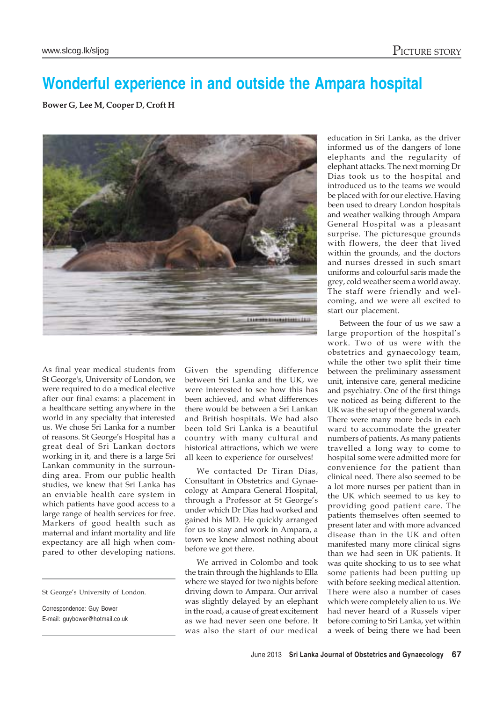## **Wonderful experience in and outside the Ampara hospital**

**Bower G, Lee M, Cooper D, Croft H**



As final year medical students from St George's, University of London, we were required to do a medical elective after our final exams: a placement in a healthcare setting anywhere in the world in any specialty that interested us. We chose Sri Lanka for a number of reasons. St George's Hospital has a great deal of Sri Lankan doctors working in it, and there is a large Sri Lankan community in the surrounding area. From our public health studies, we knew that Sri Lanka has an enviable health care system in which patients have good access to a large range of health services for free. Markers of good health such as maternal and infant mortality and life expectancy are all high when compared to other developing nations.

Correspondence: Guy Bower E-mail: guybower@hotmail.co.uk Given the spending difference between Sri Lanka and the UK, we were interested to see how this has been achieved, and what differences there would be between a Sri Lankan and British hospitals. We had also been told Sri Lanka is a beautiful country with many cultural and historical attractions, which we were all keen to experience for ourselves!

We contacted Dr Tiran Dias, Consultant in Obstetrics and Gynaecology at Ampara General Hospital, through a Professor at St George's under which Dr Dias had worked and gained his MD. He quickly arranged for us to stay and work in Ampara, a town we knew almost nothing about before we got there.

We arrived in Colombo and took the train through the highlands to Ella where we stayed for two nights before driving down to Ampara. Our arrival was slightly delayed by an elephant in the road, a cause of great excitement as we had never seen one before. It was also the start of our medical education in Sri Lanka, as the driver informed us of the dangers of lone elephants and the regularity of elephant attacks. The next morning Dr Dias took us to the hospital and introduced us to the teams we would be placed with for our elective. Having been used to dreary London hospitals and weather walking through Ampara General Hospital was a pleasant surprise. The picturesque grounds with flowers, the deer that lived within the grounds, and the doctors and nurses dressed in such smart uniforms and colourful saris made the grey, cold weather seem a world away. The staff were friendly and welcoming, and we were all excited to start our placement.

Between the four of us we saw a large proportion of the hospital's work. Two of us were with the obstetrics and gynaecology team, while the other two split their time between the preliminary assessment unit, intensive care, general medicine and psychiatry. One of the first things we noticed as being different to the UK was the set up of the general wards. There were many more beds in each ward to accommodate the greater numbers of patients. As many patients travelled a long way to come to hospital some were admitted more for convenience for the patient than clinical need. There also seemed to be a lot more nurses per patient than in the UK which seemed to us key to providing good patient care. The patients themselves often seemed to present later and with more advanced disease than in the UK and often manifested many more clinical signs than we had seen in UK patients. It was quite shocking to us to see what some patients had been putting up with before seeking medical attention. There were also a number of cases which were completely alien to us. We had never heard of a Russels viper before coming to Sri Lanka, yet within a week of being there we had been

St George's University of London.